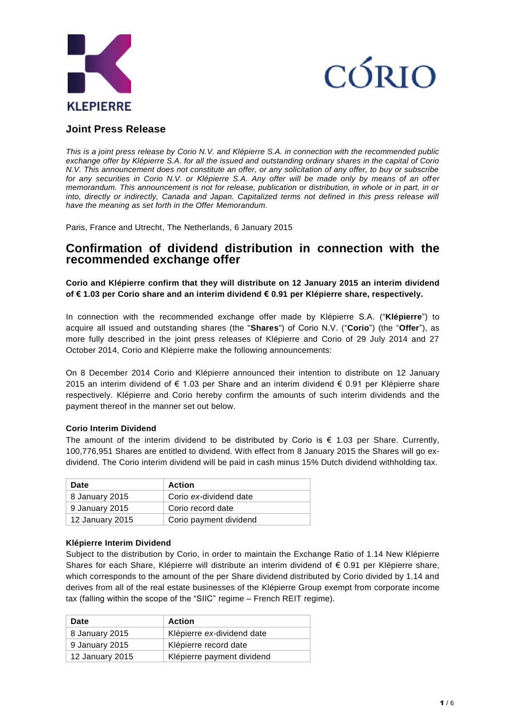



# **Joint Press Release**

*This is a joint press release by Corio N.V. and Klépierre S.A. in connection with the recommended public exchange offer by Klépierre S.A. for all the issued and outstanding ordinary shares in the capital of Corio N.V. This announcement does not constitute an offer, or any solicitation of any offer, to buy or subscribe for any securities in Corio N.V. or Klépierre S.A. Any offer will be made only by means of an offer memorandum. This announcement is not for release, publication or distribution, in whole or in part, in or*  into, directly or indirectly, Canada and Japan. Capitalized terms not defined in this press release will *have the meaning as set forth in the Offer Memorandum.*

Paris, France and Utrecht, The Netherlands, 6 January 2015

# **Confirmation of dividend distribution in connection with the recommended exchange offer**

**Corio and Klépierre confirm that they will distribute on 12 January 2015 an interim dividend of € 1.03 per Corio share and an interim dividend € 0.91 per Klépierre share, respectively.**

In connection with the recommended exchange offer made by Klépierre S.A. ("**Klépierre**") to acquire all issued and outstanding shares (the "**Shares**") of Corio N.V. ("**Corio**") (the "**Offer**"), as more fully described in the joint press releases of Klépierre and Corio of 29 July 2014 and 27 October 2014, Corio and Klépierre make the following announcements:

On 8 December 2014 Corio and Klépierre announced their intention to distribute on 12 January 2015 an interim dividend of € 1.03 per Share and an interim dividend € 0.91 per Klépierre share respectively. Klépierre and Corio hereby confirm the amounts of such interim dividends and the payment thereof in the manner set out below.

# **Corio Interim Dividend**

The amount of the interim dividend to be distributed by Corio is  $\epsilon$  1.03 per Share. Currently, 100,776,951 Shares are entitled to dividend. With effect from 8 January 2015 the Shares will go exdividend. The Corio interim dividend will be paid in cash minus 15% Dutch dividend withholding tax.

| <b>Date</b>     | <b>Action</b>          |
|-----------------|------------------------|
| 8 January 2015  | Corio ex-dividend date |
| 9 January 2015  | Corio record date      |
| 12 January 2015 | Corio payment dividend |

# **Klépierre Interim Dividend**

Subject to the distribution by Corio, in order to maintain the Exchange Ratio of 1.14 New Klépierre Shares for each Share, Klépierre will distribute an interim dividend of € 0.91 per Klépierre share, which corresponds to the amount of the per Share dividend distributed by Corio divided by 1.14 and derives from all of the real estate businesses of the Klépierre Group exempt from corporate income tax (falling within the scope of the "SIIC" regime – French REIT regime).

| Date            | <b>Action</b>              |
|-----------------|----------------------------|
| 8 January 2015  | Klépierre ex-dividend date |
| 9 January 2015  | Klépierre record date      |
| 12 January 2015 | Klépierre payment dividend |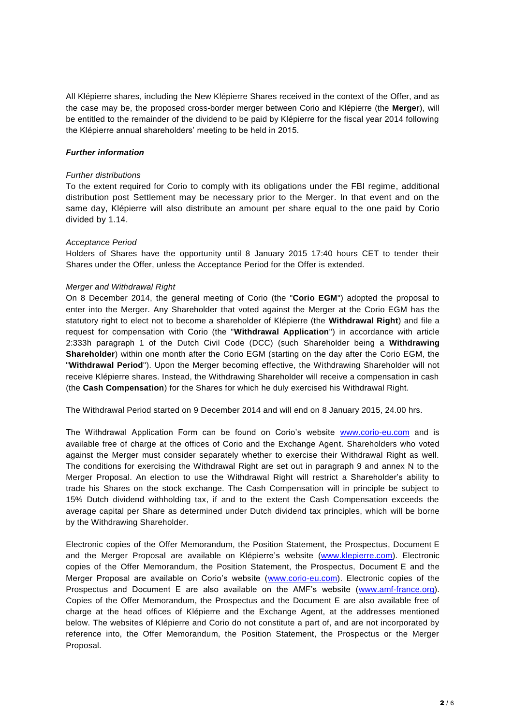All Klépierre shares, including the New Klépierre Shares received in the context of the Offer, and as the case may be, the proposed cross-border merger between Corio and Klépierre (the **Merger**), will be entitled to the remainder of the dividend to be paid by Klépierre for the fiscal year 2014 following the Klépierre annual shareholders' meeting to be held in 2015.

# *Further information*

#### *Further distributions*

To the extent required for Corio to comply with its obligations under the FBI regime, additional distribution post Settlement may be necessary prior to the Merger. In that event and on the same day, Klépierre will also distribute an amount per share equal to the one paid by Corio divided by 1.14.

#### *Acceptance Period*

Holders of Shares have the opportunity until 8 January 2015 17:40 hours CET to tender their Shares under the Offer, unless the Acceptance Period for the Offer is extended.

#### *Merger and Withdrawal Right*

On 8 December 2014, the general meeting of Corio (the "**Corio EGM**") adopted the proposal to enter into the Merger. Any Shareholder that voted against the Merger at the Corio EGM has the statutory right to elect not to become a shareholder of Klépierre (the **Withdrawal Right**) and file a request for compensation with Corio (the "**Withdrawal Application**") in accordance with article 2:333h paragraph 1 of the Dutch Civil Code (DCC) (such Shareholder being a **Withdrawing Shareholder**) within one month after the Corio EGM (starting on the day after the Corio EGM, the "**Withdrawal Period**"). Upon the Merger becoming effective, the Withdrawing Shareholder will not receive Klépierre shares. Instead, the Withdrawing Shareholder will receive a compensation in cash (the **Cash Compensation**) for the Shares for which he duly exercised his Withdrawal Right.

The Withdrawal Period started on 9 December 2014 and will end on 8 January 2015, 24.00 hrs.

The Withdrawal Application Form can be found on Corio's website [www.corio-eu.com](http://www.corio-eu.com/) and is available free of charge at the offices of Corio and the Exchange Agent. Shareholders who voted against the Merger must consider separately whether to exercise their Withdrawal Right as well. The conditions for exercising the Withdrawal Right are set out in paragraph 9 and annex N to the Merger Proposal. An election to use the Withdrawal Right will restrict a Shareholder's ability to trade his Shares on the stock exchange. The Cash Compensation will in principle be subject to 15% Dutch dividend withholding tax, if and to the extent the Cash Compensation exceeds the average capital per Share as determined under Dutch dividend tax principles, which will be borne by the Withdrawing Shareholder.

Electronic copies of the Offer Memorandum, the Position Statement, the Prospectus, Document E and the Merger Proposal are available on Klépierre's website [\(www.klepierre.com\)](http://www.klepierre.com/). Electronic copies of the Offer Memorandum, the Position Statement, the Prospectus, Document E and the Merger Proposal are available on Corio's website [\(www.corio-eu.com\)](http://www.corio-eu.com/). Electronic copies of the Prospectus and Document E are also available on the AMF's website [\(www.amf-france.org\)](http://www.amf-france.org/). Copies of the Offer Memorandum, the Prospectus and the Document E are also available free of charge at the head offices of Klépierre and the Exchange Agent, at the addresses mentioned below. The websites of Klépierre and Corio do not constitute a part of, and are not incorporated by reference into, the Offer Memorandum, the Position Statement, the Prospectus or the Merger Proposal.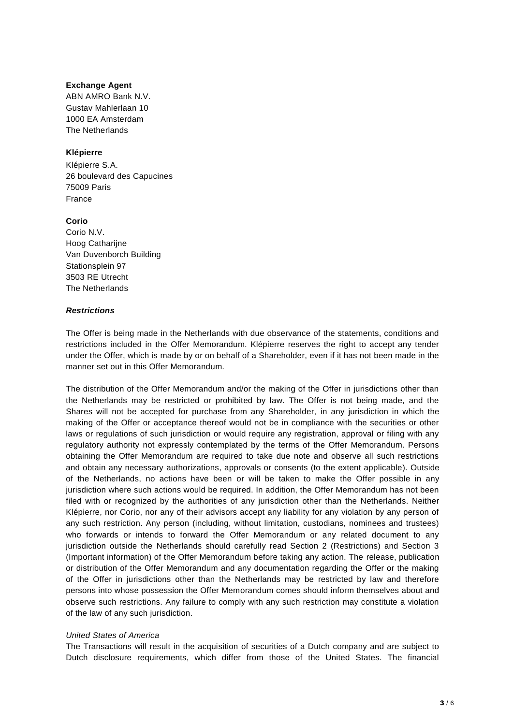#### **Exchange Agent**

ABN AMRO Bank N.V. Gustav Mahlerlaan 10 1000 EA Amsterdam The Netherlands

# **Klépierre**

Klépierre S.A. 26 boulevard des Capucines 75009 Paris France

### **Corio**

Corio N.V. Hoog Catharijne Van Duvenborch Building Stationsplein 97 3503 RE Utrecht The Netherlands

### *Restrictions*

The Offer is being made in the Netherlands with due observance of the statements, conditions and restrictions included in the Offer Memorandum. Klépierre reserves the right to accept any tender under the Offer, which is made by or on behalf of a Shareholder, even if it has not been made in the manner set out in this Offer Memorandum.

The distribution of the Offer Memorandum and/or the making of the Offer in jurisdictions other than the Netherlands may be restricted or prohibited by law. The Offer is not being made, and the Shares will not be accepted for purchase from any Shareholder, in any jurisdiction in which the making of the Offer or acceptance thereof would not be in compliance with the securities or other laws or regulations of such jurisdiction or would require any registration, approval or filing with any regulatory authority not expressly contemplated by the terms of the Offer Memorandum. Persons obtaining the Offer Memorandum are required to take due note and observe all such restrictions and obtain any necessary authorizations, approvals or consents (to the extent applicable). Outside of the Netherlands, no actions have been or will be taken to make the Offer possible in any jurisdiction where such actions would be required. In addition, the Offer Memorandum has not been filed with or recognized by the authorities of any jurisdiction other than the Netherlands. Neither Klépierre, nor Corio, nor any of their advisors accept any liability for any violation by any person of any such restriction. Any person (including, without limitation, custodians, nominees and trustees) who forwards or intends to forward the Offer Memorandum or any related document to any jurisdiction outside the Netherlands should carefully read Section 2 (Restrictions) and Section 3 (Important information) of the Offer Memorandum before taking any action. The release, publication or distribution of the Offer Memorandum and any documentation regarding the Offer or the making of the Offer in jurisdictions other than the Netherlands may be restricted by law and therefore persons into whose possession the Offer Memorandum comes should inform themselves about and observe such restrictions. Any failure to comply with any such restriction may constitute a violation of the law of any such jurisdiction.

#### *United States of America*

The Transactions will result in the acquisition of securities of a Dutch company and are subject to Dutch disclosure requirements, which differ from those of the United States. The financial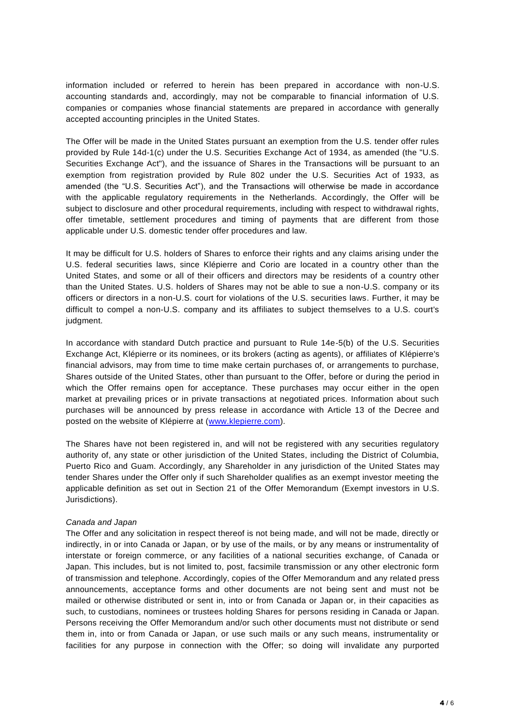information included or referred to herein has been prepared in accordance with non-U.S. accounting standards and, accordingly, may not be comparable to financial information of U.S. companies or companies whose financial statements are prepared in accordance with generally accepted accounting principles in the United States.

The Offer will be made in the United States pursuant an exemption from the U.S. tender offer rules provided by Rule 14d-1(c) under the U.S. Securities Exchange Act of 1934, as amended (the "U.S. Securities Exchange Act"), and the issuance of Shares in the Transactions will be pursuant to an exemption from registration provided by Rule 802 under the U.S. Securities Act of 1933, as amended (the "U.S. Securities Act"), and the Transactions will otherwise be made in accordance with the applicable regulatory requirements in the Netherlands. Accordingly, the Offer will be subject to disclosure and other procedural requirements, including with respect to withdrawal rights, offer timetable, settlement procedures and timing of payments that are different from those applicable under U.S. domestic tender offer procedures and law.

It may be difficult for U.S. holders of Shares to enforce their rights and any claims arising under the U.S. federal securities laws, since Klépierre and Corio are located in a country other than the United States, and some or all of their officers and directors may be residents of a country other than the United States. U.S. holders of Shares may not be able to sue a non-U.S. company or its officers or directors in a non-U.S. court for violations of the U.S. securities laws. Further, it may be difficult to compel a non-U.S. company and its affiliates to subject themselves to a U.S. court's judgment.

In accordance with standard Dutch practice and pursuant to Rule 14e-5(b) of the U.S. Securities Exchange Act, Klépierre or its nominees, or its brokers (acting as agents), or affiliates of Klépierre's financial advisors, may from time to time make certain purchases of, or arrangements to purchase, Shares outside of the United States, other than pursuant to the Offer, before or during the period in which the Offer remains open for acceptance. These purchases may occur either in the open market at prevailing prices or in private transactions at negotiated prices. Information about such purchases will be announced by press release in accordance with Article 13 of the Decree and posted on the website of Klépierre at [\(www.klepierre.com\)](http://www.klepierre.com/).

The Shares have not been registered in, and will not be registered with any securities regulatory authority of, any state or other jurisdiction of the United States, including the District of Columbia, Puerto Rico and Guam. Accordingly, any Shareholder in any jurisdiction of the United States may tender Shares under the Offer only if such Shareholder qualifies as an exempt investor meeting the applicable definition as set out in Section 21 of the Offer Memorandum (Exempt investors in U.S. Jurisdictions).

#### *Canada and Japan*

The Offer and any solicitation in respect thereof is not being made, and will not be made, directly or indirectly, in or into Canada or Japan, or by use of the mails, or by any means or instrumentality of interstate or foreign commerce, or any facilities of a national securities exchange, of Canada or Japan. This includes, but is not limited to, post, facsimile transmission or any other electronic form of transmission and telephone. Accordingly, copies of the Offer Memorandum and any related press announcements, acceptance forms and other documents are not being sent and must not be mailed or otherwise distributed or sent in, into or from Canada or Japan or, in their capacities as such, to custodians, nominees or trustees holding Shares for persons residing in Canada or Japan. Persons receiving the Offer Memorandum and/or such other documents must not distribute or send them in, into or from Canada or Japan, or use such mails or any such means, instrumentality or facilities for any purpose in connection with the Offer; so doing will invalidate any purported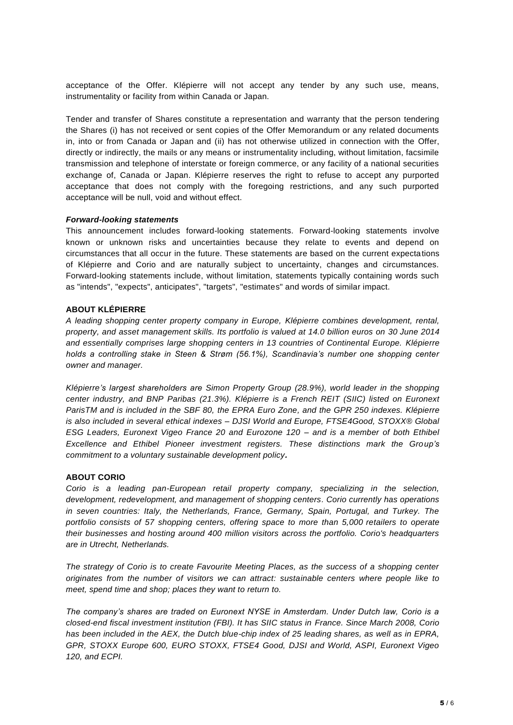acceptance of the Offer. Klépierre will not accept any tender by any such use, means, instrumentality or facility from within Canada or Japan.

Tender and transfer of Shares constitute a representation and warranty that the person tendering the Shares (i) has not received or sent copies of the Offer Memorandum or any related documents in, into or from Canada or Japan and (ii) has not otherwise utilized in connection with the Offer, directly or indirectly, the mails or any means or instrumentality including, without limitation, facsimile transmission and telephone of interstate or foreign commerce, or any facility of a national securities exchange of, Canada or Japan. Klépierre reserves the right to refuse to accept any purported acceptance that does not comply with the foregoing restrictions, and any such purported acceptance will be null, void and without effect.

#### *Forward-looking statements*

This announcement includes forward-looking statements. Forward-looking statements involve known or unknown risks and uncertainties because they relate to events and depend on circumstances that all occur in the future. These statements are based on the current expectations of Klépierre and Corio and are naturally subject to uncertainty, changes and circumstances. Forward-looking statements include, without limitation, statements typically containing words such as "intends", "expects", anticipates", "targets", "estimates" and words of similar impact.

#### **ABOUT KLÉPIERRE**

*A leading shopping center property company in Europe, Klépierre combines development, rental, property, and asset management skills. Its portfolio is valued at 14.0 billion euros on 30 June 2014 and essentially comprises large shopping centers in 13 countries of Continental Europe. Klépierre holds a controlling stake in Steen & Strøm (56.1%), Scandinavia's number one shopping center owner and manager.*

*Klépierre's largest shareholders are Simon Property Group (28.9%), world leader in the shopping center industry, and BNP Paribas (21.3%). Klépierre is a French REIT (SIIC) listed on Euronext ParisTM and is included in the SBF 80, the EPRA Euro Zone, and the GPR 250 indexes. Klépierre is also included in several ethical indexes – DJSI World and Europe, FTSE4Good, STOXX® Global ESG Leaders, Euronext Vigeo France 20 and Eurozone 120 – and is a member of both Ethibel Excellence and Ethibel Pioneer investment registers. These distinctions mark the Group's commitment to a voluntary sustainable development policy.*

#### **ABOUT CORIO**

*Corio is a leading pan-European retail property company, specializing in the selection, development, redevelopment, and management of shopping centers. Corio currently has operations in seven countries: Italy, the Netherlands, France, Germany, Spain, Portugal, and Turkey. The portfolio consists of 57 shopping centers, offering space to more than 5,000 retailers to operate their businesses and hosting around 400 million visitors across the portfolio. Corio's headquarters are in Utrecht, Netherlands.*

*The strategy of Corio is to create Favourite Meeting Places, as the success of a shopping center originates from the number of visitors we can attract: sustainable centers where people like to meet, spend time and shop; places they want to return to.* 

*The company's shares are traded on Euronext NYSE in Amsterdam. Under Dutch law, Corio is a closed-end fiscal investment institution (FBI). It has SIIC status in France. Since March 2008, Corio has been included in the AEX, the Dutch blue-chip index of 25 leading shares, as well as in EPRA, GPR, STOXX Europe 600, EURO STOXX, FTSE4 Good, DJSI and World, ASPI, Euronext Vigeo 120, and ECPI.*